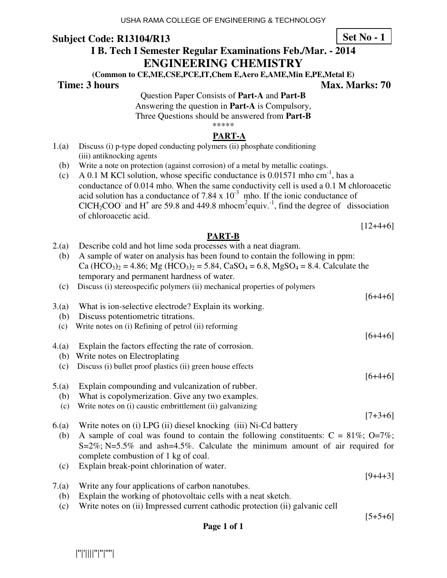## **Subject Code: R13104/R13**

**Set No - 1**

# **I B. Tech I Semester Regular Examinations Feb./Mar. - 2014**

**ENGINEERING CHEMISTRY** 

**(Common to CE,ME,CSE,PCE,IT,Chem E,Aero E,AME,Min E,PE,Metal E)** 

**Time: 3 hours** Max. Marks: 70

Question Paper Consists of **Part-A** and **Part-B** Answering the question in **Part-A** is Compulsory, Three Questions should be answered from **Part-B**

\*\*\*\*\*

### **PART-A**

- 1.(a) Discuss (i) p-type doped conducting polymers (ii) phosphate conditioning (iii) antiknocking agents
	- (b) Write a note on protection (against corrosion) of a metal by metallic coatings.
- (c) A 0.1 M KCl solution, whose specific conductance is  $0.01571$  mho cm<sup>-1</sup>, has a conductance of 0.014 mho. When the same conductivity cell is used a 0.1 M chloroacetic acid solution has a conductance of  $7.84 \times 10^{-3}$  mho. If the ionic conductance of CICH<sub>2</sub>COO<sup>-</sup> and H<sup>+</sup> are 59.8 and 449.8 mhocm<sup>2</sup>equiv.<sup>-1</sup>, find the degree of dissociation of chloroacetic acid.

 $[12+4+6]$ 

### **PART-B**

|       | PAR1-D                                                                                                        |           |
|-------|---------------------------------------------------------------------------------------------------------------|-----------|
| 2.(a) | Describe cold and hot lime soda processes with a neat diagram.                                                |           |
| (b)   | A sample of water on analysis has been found to contain the following in ppm:                                 |           |
|       | Ca $(HCO3)_2 = 4.86$ ; Mg $(HCO3)_2 = 5.84$ , CaSO <sub>4</sub> = 6.8, MgSO <sub>4</sub> = 8.4. Calculate the |           |
|       | temporary and permanent hardness of water.                                                                    |           |
| (c)   | Discuss (i) stereospecific polymers (ii) mechanical properties of polymers                                    |           |
|       |                                                                                                               | $[6+4+6]$ |
| 3.(a) | What is ion-selective electrode? Explain its working.                                                         |           |
| (b)   | Discuss potentiometric titrations.                                                                            |           |
| (c)   | Write notes on (i) Refining of petrol (ii) reforming                                                          |           |
|       |                                                                                                               | $[6+4+6]$ |
| 4(a)  | Explain the factors effecting the rate of corrosion.                                                          |           |
| (b)   | Write notes on Electroplating                                                                                 |           |
| (c)   | Discuss (i) bullet proof plastics (ii) green house effects                                                    |           |
|       |                                                                                                               | $[6+4+6]$ |
| 5.(a) | Explain compounding and vulcanization of rubber.                                                              |           |
| (b)   | What is copolymerization. Give any two examples.                                                              |           |
| (c)   | Write notes on (i) caustic embrittlement (ii) galvanizing                                                     |           |
|       |                                                                                                               | $[7+3+6]$ |
| 6(a)  | Write notes on (i) LPG (ii) diesel knocking (iii) Ni-Cd battery                                               |           |
| (b)   | A sample of coal was found to contain the following constituents: $C = 81\%$ ; O=7%;                          |           |
|       | $S=2\%$ ; N=5.5% and ash=4.5%. Calculate the minimum amount of air required for                               |           |
|       | complete combustion of 1 kg of coal.                                                                          |           |
| (c)   | Explain break-point chlorination of water.                                                                    |           |

 $[9+4+3]$ 

- 7.(a) Write any four applications of carbon nanotubes.
	- (b) Explain the working of photovoltaic cells with a neat sketch.
	- (c) Write notes on (ii) Impressed current cathodic protection (ii) galvanic cell

 $[5+5+6]$ 

### **Page 1 of 1**

|''|'||||''|''|''''|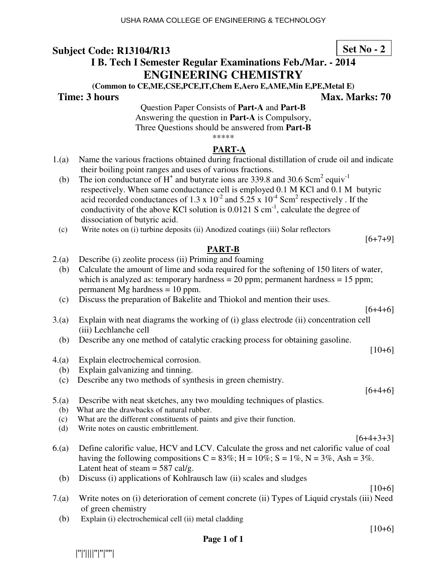**ENGINEERING CHEMISTRY (Common to CE,ME,CSE,PCE,IT,Chem E,Aero E,AME,Min E,PE,Metal E)** 

> Question Paper Consists of **Part-A** and **Part-B** Answering the question in **Part-A** is Compulsory, Three Questions should be answered from **Part-B**

### **Subject Code: R13104/R13 I B. Tech I Semester Regular Examinations Feb./Mar. - 2014**

\*\*\*\*\* **PART-A** 

- 1.(a) Name the various fractions obtained during fractional distillation of crude oil and indicate their boiling point ranges and uses of various fractions.
- (b) The ion conductance of  $H^+$  and butyrate ions are 339.8 and 30.6 Scm<sup>2</sup> equiv<sup>-1</sup> respectively. When same conductance cell is employed 0.1 M KCl and 0.1 M butyric acid recorded conductances of 1.3 x  $10^{-2}$  and 5.25 x  $10^{-4}$  Scm<sup>2</sup> respectively. If the conductivity of the above KCl solution is  $0.0121$  S cm<sup>-1</sup>, calculate the degree of dissociation of butyric acid.
	- (c) Write notes on (i) turbine deposits (ii) Anodized coatings (iii) Solar reflectors

### **PART-B**

- 2.(a) Describe (i) zeolite process (ii) Priming and foaming (b) Calculate the amount of lime and soda required for the softening of 150 liters of water,
	- which is analyzed as: temporary hardness  $= 20$  ppm; permanent hardness  $= 15$  ppm; permanent Mg hardness = 10 ppm.
	- (c) Discuss the preparation of Bakelite and Thiokol and mention their uses.

3.(a) Explain with neat diagrams the working of (i) glass electrode (ii) concentration cell (iii) Lechlanche cell

- (b) Describe any one method of catalytic cracking process for obtaining gasoline.
- 4.(a) Explain electrochemical corrosion.
	- (b) Explain galvanizing and tinning.
	- (c) Describe any two methods of synthesis in green chemistry.
- 5.(a) Describe with neat sketches, any two moulding techniques of plastics.
	- (b) What are the drawbacks of natural rubber.
	- (c) What are the different constituents of paints and give their function.
	- (d) Write notes on caustic embrittlement.
- 6.(a) Define calorific value, HCV and LCV. Calculate the gross and net calorific value of coal having the following compositions  $C = 83\%$ ; H = 10%; S = 1%, N = 3%, Ash = 3%. Latent heat of steam  $= 587$  cal/g.
	- (b) Discuss (i) applications of Kohlrausch law (ii) scales and sludges
- 7.(a) Write notes on (i) deterioration of cement concrete (ii) Types of Liquid crystals (iii) Need of green chemistry
	- (b) Explain (i) electrochemical cell (ii) metal cladding

#### **Page 1 of 1**

|''|'||||''|''|''''|

### **Time: 3 hours Max. Marks: 70**  Max. Marks: 70

**Set No - 2**

 $[6+4+6]$ 

 $[10+6]$ 

 $[6+7+9]$ 

 $[6+4+6]$ 

 $[6+4+3+3]$ 

 $[10+6]$ 

 $[10+6]$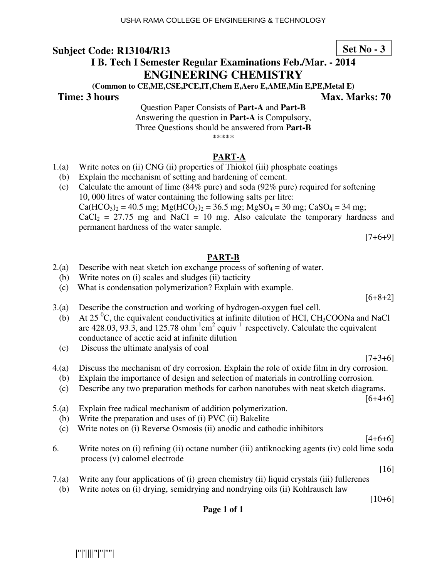# **Subject Code: R13104/R13**

|''|'||||''|''|''''|

# **I B. Tech I Semester Regular Examinations Feb./Mar. - 2014 ENGINEERING CHEMISTRY**

**(Common to CE,ME,CSE,PCE,IT,Chem E,Aero E,AME,Min E,PE,Metal E)** 

### **Time: 3 hours Max. Marks: 70**  Max. Marks: 70

Question Paper Consists of **Part-A** and **Part-B** Answering the question in **Part-A** is Compulsory, Three Questions should be answered from **Part-B** \*\*\*\*\*

### **PART-A**

- 1.(a) Write notes on (ii) CNG (ii) properties of Thiokol (iii) phosphate coatings
- (b) Explain the mechanism of setting and hardening of cement.
- (c) Calculate the amount of lime (84% pure) and soda (92% pure) required for softening 10, 000 litres of water containing the following salts per litre:  $Ca(HCO<sub>3</sub>)<sub>2</sub> = 40.5$  mg;  $Mg(HCO<sub>3</sub>)<sub>2</sub> = 36.5$  mg;  $MgSO<sub>4</sub> = 30$  mg;  $CaSO<sub>4</sub> = 34$  mg;  $CaCl<sub>2</sub> = 27.75$  mg and NaCl = 10 mg. Also calculate the temporary hardness and permanent hardness of the water sample.

 $[7+6+9]$ 

### **PART-B**

- 2.(a) Describe with neat sketch ion exchange process of softening of water.
	- (b) Write notes on (i) scales and sludges (ii) tacticity
	- (c) What is condensation polymerization? Explain with example.
- 3.(a) Describe the construction and working of hydrogen-oxygen fuel cell.
- (b) At 25  $\mathrm{^{0}C}$ , the equivalent conductivities at infinite dilution of HCl, CH<sub>3</sub>COONa and NaCl are  $428.03, 93.\overline{3}$ , and  $125.78 \text{ ohm}^{-1} \text{cm}^2 \text{equiv}^{-1}$  respectively. Calculate the equivalent conductance of acetic acid at infinite dilution
	- (c) Discuss the ultimate analysis of coal

 $[7+3+6]$ 

- 4.(a) Discuss the mechanism of dry corrosion. Explain the role of oxide film in dry corrosion.
	- (b) Explain the importance of design and selection of materials in controlling corrosion.
	- (c) Describe any two preparation methods for carbon nanotubes with neat sketch diagrams.

 $[6+4+6]$ 

 $[4+6+6]$ 

- 5.(a) Explain free radical mechanism of addition polymerization.
	- (b) Write the preparation and uses of (i) PVC (ii) Bakelite
	- (c) Write notes on (i) Reverse Osmosis (ii) anodic and cathodic inhibitors
- 6. Write notes on (i) refining (ii) octane number (iii) antiknocking agents (iv) cold lime soda process (v) calomel electrode
- 7.(a) Write any four applications of (i) green chemistry (ii) liquid crystals (iii) fullerenes

**Page 1 of 1** 

(b) Write notes on (i) drying, semidrying and nondrying oils (ii) Kohlrausch law

 $[10+6]$ 

[16]

 $[6+8+2]$ 

**Set No - 3**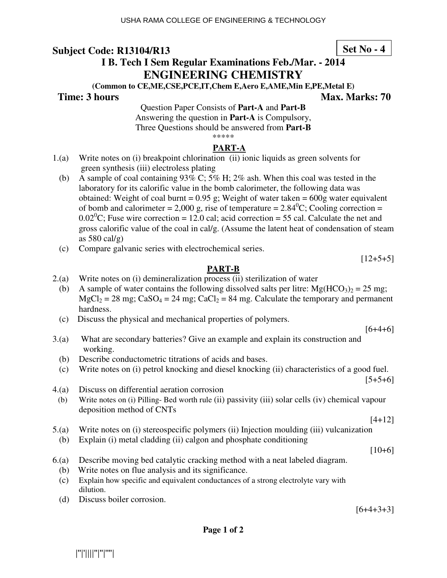### **Subject Code: R13104/R13 I B. Tech I Sem Regular Examinations Feb./Mar. - 2014 ENGINEERING CHEMISTRY**

**(Common to CE,ME,CSE,PCE,IT,Chem E,Aero E,AME,Min E,PE,Metal E)** 

### **Time: 3 hours Max. Marks: 70 Max. Marks: 70**

Question Paper Consists of **Part-A** and **Part-B** Answering the question in **Part-A** is Compulsory, Three Questions should be answered from **Part-B** \*\*\*\*\*

### **PART-A**

- 1.(a) Write notes on (i) breakpoint chlorination (ii) ionic liquids as green solvents for green synthesis (iii) electroless plating
	- (b) A sample of coal containing 93% C; 5% H; 2% ash. When this coal was tested in the laboratory for its calorific value in the bomb calorimeter, the following data was obtained: Weight of coal burnt =  $0.95$  g; Weight of water taken =  $600$ g water equivalent of bomb and calorimeter = 2,000 g, rise of temperature =  $2.84^{\circ}$ C; Cooling correction =  $0.02^{\circ}$ C; Fuse wire correction = 12.0 cal; acid correction = 55 cal. Calculate the net and gross calorific value of the coal in cal/g. (Assume the latent heat of condensation of steam as  $580 \text{ cal/g}$
	- (c) Compare galvanic series with electrochemical series.

 $[12+5+5]$ 

### **PART-B**

- 2.(a) Write notes on (i) demineralization process (ii) sterilization of water
	- (b) A sample of water contains the following dissolved salts per litre:  $Mg(HCO<sub>3</sub>)<sub>2</sub> = 25$  mg;  $MgCl_2 = 28$  mg;  $CaSO_4 = 24$  mg;  $CaCl_2 = 84$  mg. Calculate the temporary and permanent hardness.
	- (c) Discuss the physical and mechanical properties of polymers.

 $[6+4+6]$ 

- 3.(a) What are secondary batteries? Give an example and explain its construction and working.
	- (b) Describe conductometric titrations of acids and bases.
	- (c) Write notes on (i) petrol knocking and diesel knocking (ii) characteristics of a good fuel.
- 4.(a) Discuss on differential aeration corrosion
	- (b) Write notes on (i) Pilling- Bed worth rule (ii) passivity (iii) solar cells (iv) chemical vapour deposition method of CNTs

[4+12]

 $[5+5+6]$ 

- 5.(a) Write notes on (i) stereospecific polymers (ii) Injection moulding (iii) vulcanization
	- (b) Explain (i) metal cladding (ii) calgon and phosphate conditioning

 $[10+6]$ 

- 6.(a) Describe moving bed catalytic cracking method with a neat labeled diagram.
	- (b) Write notes on flue analysis and its significance.
	- (c) Explain how specific and equivalent conductances of a strong electrolyte vary with dilution.
	- (d) Discuss boiler corrosion.

 $[6+4+3+3]$ 

### |''|'||||''|''|''''|

**Set No - 4**